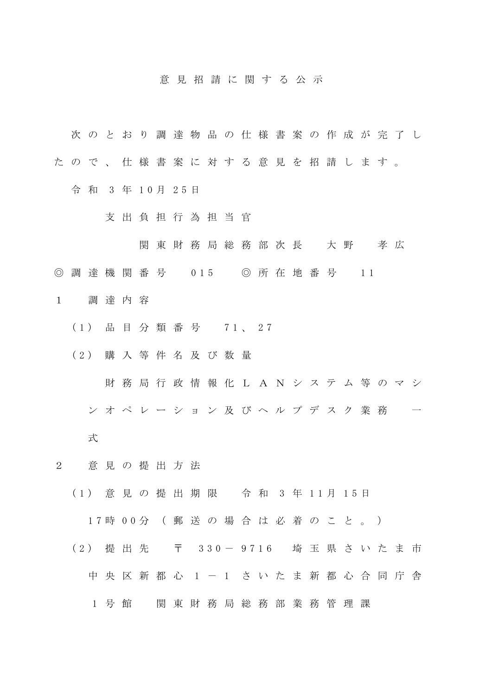## 意 見 招 請 に 関 す る 公 示

- 次 の と お り 調 達 物 品 の 仕 様 書 案 の 作 成 が 完 了 し
- た の で 、 仕 様 書 案 に 対 す る 意 見 を 招 請 し ま す 。
	- 令 和 3 年 1 0 月 2 5 日
		- 支 出 負 担 行 為 担 当 官
			- 関 東 財 務 局 総 務 部 次 長 大 野 孝 広
- ◎ 調 達 機 関 番 号 0 15 ◎ 所 在 地 番 号 1 1
- 1 調 達 内 容
	- ( 1 ) 品 目 分 類 番 号 7 1 、 2 7
	- ( 2 ) 購 入 等 件 名 及 び 数 量
		- 財 務 局 行 政 情 報 化 L A N シ ス テ ム 等 の マ シ
		- ン オ ペ レ ー シ ョ ン 及 び ヘ ル プ デ ス ク 業 務
		- 式
- 2 意 見 の 提 出 方 法
	- ( 1 ) 意 見 の 提 出 期 限 令 和 3 年 1 1 月 1 5 日

1 7 時 0 0 分 ( 郵 送 の 場 合 は 必 着 の こ と 。 )

- (2) 提 出 先 〒 330-9716 埼 玉 県 さ い た ま 市
	- 中 央 区 新 都 心 1 1 さ い た ま 新 都 心 合 同 庁 舎
		- 1 号館 関東財務局総務部業務管理課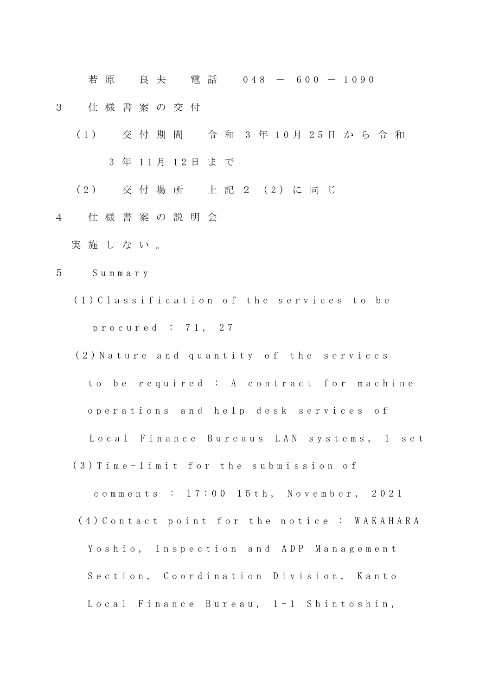若 原 真 夫 電 話 0 4 8 - 6 0 0 - 1 0 9 0

- 3 仕 様 書 案 の 交 付
	- ( 1 ) 交 付 期 間 令 和 3 年 1 0 月 2 5 日 か ら 令 和 3 年 11月 12日 まで
	- ( 2 ) 交 付 場 所 上 記 2 ( 2 ) に 同 じ
- 4 仕 様 書 案 の 説 明 会
	- 実 施 し な い 。
- 5 S u m m a r y
	- ( 1 ) C l a s s i f i c a t i o n o f t h e s e r v i c e s t o b e p r o c u r e d : 7 1 , 2 7
	- (2) Nature and quantity of the services to be required : A contract for machine operations and help desk services of Local Finance Bureaus LAN systems, 1 set (3) Time-limit for the submission of
		- comments : 17:00 15th, November, 2021 (4) Contact point for the notice : WAKAHARA Yoshio, Inspection and ADP Management Section, Coordination Division, Kanto Local Finance Bureau, 1-1 Shintoshin,